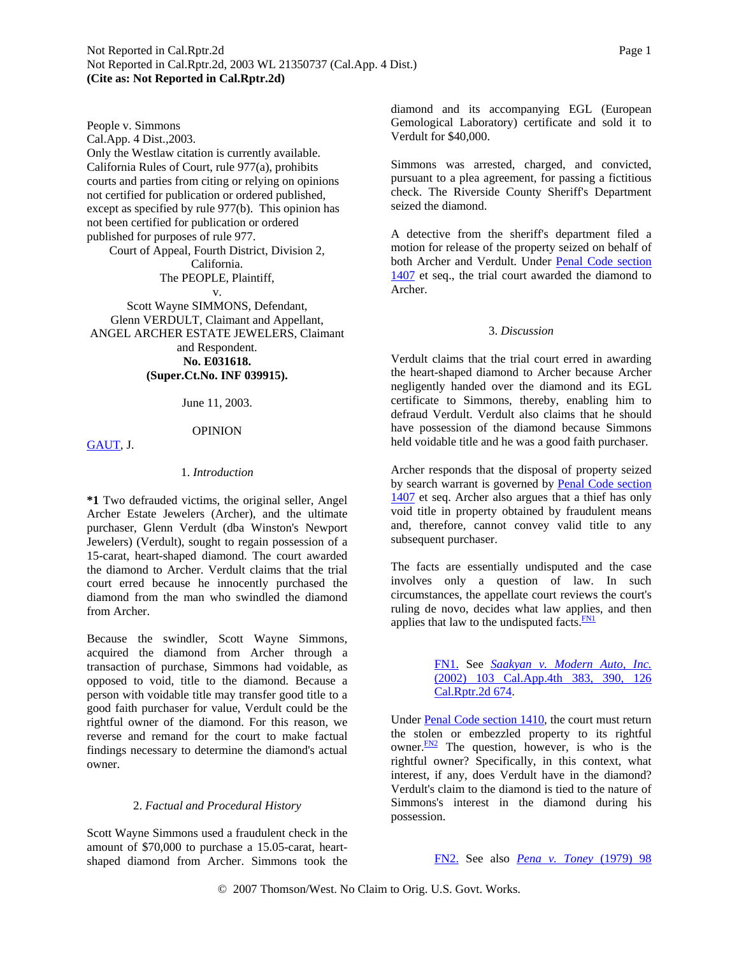People v. Simmons Cal.App. 4 Dist.,2003. Only the Westlaw citation is currently available. California Rules of Court, rule 977(a), prohibits courts and parties from citing or relying on opinions not certified for publication or ordered published, except as specified by rule 977(b). This opinion has not been certified for publication or ordered published for purposes of rule 977.

**(Cite as: Not Reported in Cal.Rptr.2d)**

<span id="page-0-0"></span>Not Reported in Cal.Rptr.2d, 2003 WL 21350737 (Cal.App. 4 Dist.)

Court of Appeal, Fourth District, Division 2, California.

The PEOPLE, Plaintiff,

v. Scott Wayne SIMMONS, Defendant, Glenn VERDULT, Claimant and Appellant, ANGEL ARCHER ESTATE JEWELERS, Claimant and Respondent. **No. E031618. (Super.Ct.No. INF 039915).**

June 11, 2003.

### OPINION

[GAUT,](http://www.westlaw.com/Find/Default.wl?rs=dfa1.0&vr=2.0&DB=PROFILER-WLD&DocName=0243200101&FindType=h) J.

# 1. *Introduction*

**\*1** Two defrauded victims, the original seller, Angel Archer Estate Jewelers (Archer), and the ultimate purchaser, Glenn Verdult (dba Winston's Newport Jewelers) (Verdult), sought to regain possession of a 15-carat, heart-shaped diamond. The court awarded the diamond to Archer. Verdult claims that the trial court erred because he innocently purchased the diamond from the man who swindled the diamond from Archer.

Because the swindler, Scott Wayne Simmons, acquired the diamond from Archer through a transaction of purchase, Simmons had voidable, as opposed to void, title to the diamond. Because a person with voidable title may transfer good title to a good faith purchaser for value, Verdult could be the rightful owner of the diamond. For this reason, we reverse and remand for the court to make factual findings necessary to determine the diamond's actual owner.

#### 2. *Factual and Procedural History*

Scott Wayne Simmons used a fraudulent check in the amount of \$70,000 to purchase a 15.05-carat, heartshaped diamond from Archer. Simmons took the diamond and its accompanying EGL (European Gemological Laboratory) certificate and sold it to Verdult for \$40,000.

Simmons was arrested, charged, and convicted, pursuant to a plea agreement, for passing a fictitious check. The Riverside County Sheriff's Department seized the diamond.

A detective from the sheriff's department filed a motion for release of the property seized on behalf of both Archer and Verdult. Under [Penal Code section](http://www.westlaw.com/Find/Default.wl?rs=dfa1.0&vr=2.0&DB=1000217&DocName=CAPES1407&FindType=L)  [1407](http://www.westlaw.com/Find/Default.wl?rs=dfa1.0&vr=2.0&DB=1000217&DocName=CAPES1407&FindType=L) et seq., the trial court awarded the diamond to Archer.

### 3. *Discussion*

Verdult claims that the trial court erred in awarding the heart-shaped diamond to Archer because Archer negligently handed over the diamond and its EGL certificate to Simmons, thereby, enabling him to defraud Verdult. Verdult also claims that he should have possession of the diamond because Simmons held voidable title and he was a good faith purchaser.

Archer responds that the disposal of property seized by search warrant is governed by [Penal Code section](http://www.westlaw.com/Find/Default.wl?rs=dfa1.0&vr=2.0&DB=1000217&DocName=CAPES1407&FindType=L)  [1407](http://www.westlaw.com/Find/Default.wl?rs=dfa1.0&vr=2.0&DB=1000217&DocName=CAPES1407&FindType=L) et seq. Archer also argues that a thief has only void title in property obtained by fraudulent means and, therefore, cannot convey valid title to any subsequent purchaser.

The facts are essentially undisputed and the case involves only a question of law. In such circumstances, the appellate court reviews the court's ruling de novo, decides what law applies, and then applies that law to the undisputed facts. $\frac{FN1}{FN}$ 

> [FN1.](#page-0-0) See *[Saakyan v. Modern Auto, Inc.](http://www.westlaw.com/Find/Default.wl?rs=dfa1.0&vr=2.0&DB=3484&FindType=Y&SerialNum=2002691325)* [\(2002\) 103 Cal.App.4th 383, 390, 126](http://www.westlaw.com/Find/Default.wl?rs=dfa1.0&vr=2.0&DB=3484&FindType=Y&SerialNum=2002691325)  [Cal.Rptr.2d 674](http://www.westlaw.com/Find/Default.wl?rs=dfa1.0&vr=2.0&DB=3484&FindType=Y&SerialNum=2002691325).

Under [Penal Code section 1410](http://www.westlaw.com/Find/Default.wl?rs=dfa1.0&vr=2.0&DB=1000217&DocName=CAPES1410&FindType=L), the court must return the stolen or embezzled property to its rightful owner. $\frac{FN2}{FN}$  The question, however, is who is the rightful owner? Specifically, in this context, what interest, if any, does Verdult have in the diamond? Verdult's claim to the diamond is tied to the nature of Simmons's interest in the diamond during his possession.

[FN2.](#page-0-0) See also *[Pena v. Toney](http://www.westlaw.com/Find/Default.wl?rs=dfa1.0&vr=2.0&DB=227&FindType=Y&SerialNum=1979111906)* [\(1979\) 98](http://www.westlaw.com/Find/Default.wl?rs=dfa1.0&vr=2.0&DB=227&FindType=Y&SerialNum=1979111906)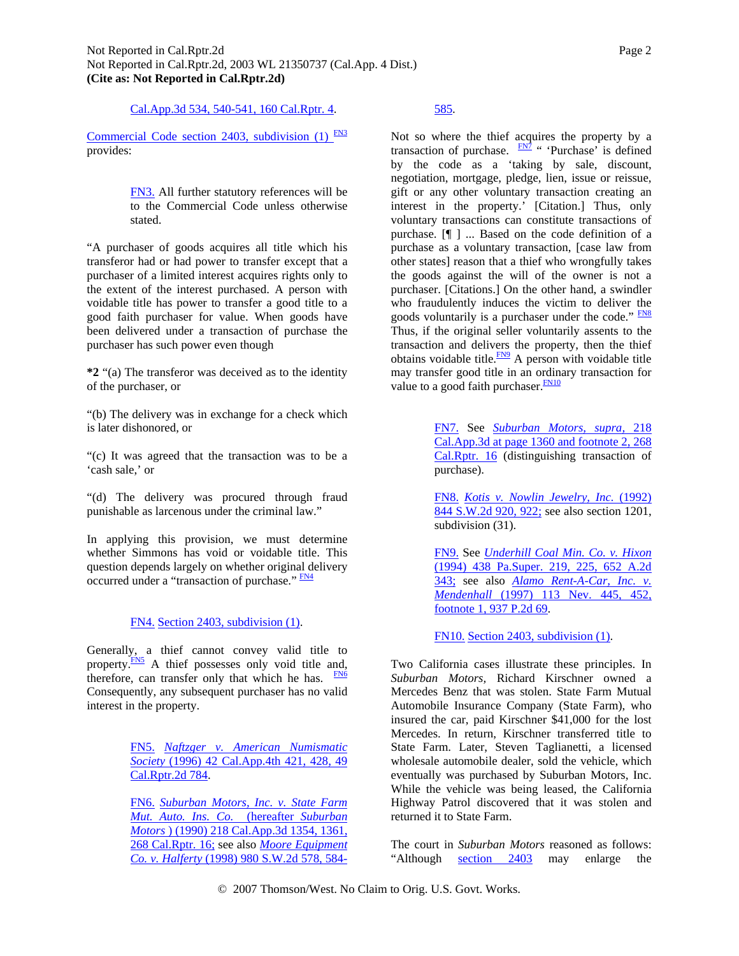[Cal.App.3d 534, 540-541, 160 Cal.Rptr. 4.](http://www.westlaw.com/Find/Default.wl?rs=dfa1.0&vr=2.0&DB=227&FindType=Y&SerialNum=1979111906)

<span id="page-1-0"></span>Commercial Code section 2403, subdivision  $(1)$  FN3 provides:

> [FN3.](#page-1-0) All further statutory references will be to the Commercial Code unless otherwise stated.

"A purchaser of goods acquires all title which his transferor had or had power to transfer except that a purchaser of a limited interest acquires rights only to the extent of the interest purchased. A person with voidable title has power to transfer a good title to a good faith purchaser for value. When goods have been delivered under a transaction of purchase the purchaser has such power even though

**\*2** "(a) The transferor was deceived as to the identity of the purchaser, or

"(b) The delivery was in exchange for a check which is later dishonored, or

"(c) It was agreed that the transaction was to be a 'cash sale,' or

"(d) The delivery was procured through fraud punishable as larcenous under the criminal law."

In applying this provision, we must determine whether Simmons has void or voidable title. This question depends largely on whether original delivery occurred under a "transaction of purchase." **FN4** 

## [FN4.](#page-1-0) [Section 2403, subdivision \(1\).](http://www.westlaw.com/Find/Default.wl?rs=dfa1.0&vr=2.0&DB=1000202&DocName=CACLS2403&FindType=L)

Generally, a thief cannot convey valid title to property.<sup>FN5</sup> A thief possesses only void title and, therefore, can transfer only that which he has.  $F_{N6}$ Consequently, any subsequent purchaser has no valid interest in the property.

> [FN5.](#page-1-0) *[Naftzger v. American Numismatic](http://www.westlaw.com/Find/Default.wl?rs=dfa1.0&vr=2.0&DB=3484&FindType=Y&SerialNum=1996042763)  [Society](http://www.westlaw.com/Find/Default.wl?rs=dfa1.0&vr=2.0&DB=3484&FindType=Y&SerialNum=1996042763)* [\(1996\) 42 Cal.App.4th 421, 428, 49](http://www.westlaw.com/Find/Default.wl?rs=dfa1.0&vr=2.0&DB=3484&FindType=Y&SerialNum=1996042763)  [Cal.Rptr.2d 784](http://www.westlaw.com/Find/Default.wl?rs=dfa1.0&vr=2.0&DB=3484&FindType=Y&SerialNum=1996042763).

> [FN6.](#page-1-0) *[Suburban Motors, Inc. v. State Farm](http://www.westlaw.com/Find/Default.wl?rs=dfa1.0&vr=2.0&DB=227&FindType=Y&SerialNum=1990054633)  [Mut. Auto. Ins. Co.](http://www.westlaw.com/Find/Default.wl?rs=dfa1.0&vr=2.0&DB=227&FindType=Y&SerialNum=1990054633)* [\(hereafter](http://www.westlaw.com/Find/Default.wl?rs=dfa1.0&vr=2.0&DB=227&FindType=Y&SerialNum=1990054633) *[Suburban](http://www.westlaw.com/Find/Default.wl?rs=dfa1.0&vr=2.0&DB=227&FindType=Y&SerialNum=1990054633)  [Motors](http://www.westlaw.com/Find/Default.wl?rs=dfa1.0&vr=2.0&DB=227&FindType=Y&SerialNum=1990054633)* [\) \(1990\) 218 Cal.App.3d 1354, 1361,](http://www.westlaw.com/Find/Default.wl?rs=dfa1.0&vr=2.0&DB=227&FindType=Y&SerialNum=1990054633)  [268 Cal.Rptr. 16;](http://www.westlaw.com/Find/Default.wl?rs=dfa1.0&vr=2.0&DB=227&FindType=Y&SerialNum=1990054633) see also *[Moore Equipment](http://www.westlaw.com/Find/Default.wl?rs=dfa1.0&vr=2.0&DB=713&FindType=Y&ReferencePositionType=S&SerialNum=1998057432&ReferencePosition=584)  [Co. v. Halferty](http://www.westlaw.com/Find/Default.wl?rs=dfa1.0&vr=2.0&DB=713&FindType=Y&ReferencePositionType=S&SerialNum=1998057432&ReferencePosition=584)* [\(1998\) 980 S.W.2d 578, 584-](http://www.westlaw.com/Find/Default.wl?rs=dfa1.0&vr=2.0&DB=713&FindType=Y&ReferencePositionType=S&SerialNum=1998057432&ReferencePosition=584)

# [585](http://www.westlaw.com/Find/Default.wl?rs=dfa1.0&vr=2.0&DB=713&FindType=Y&ReferencePositionType=S&SerialNum=1998057432&ReferencePosition=584).

Not so where the thief acquires the property by a transaction of purchase.  $\frac{FN7}{2}$  " 'Purchase' is defined by the code as a 'taking by sale, discount, negotiation, mortgage, pledge, lien, issue or reissue, gift or any other voluntary transaction creating an interest in the property.' [Citation.] Thus, only voluntary transactions can constitute transactions of purchase. [¶ ] ... Based on the code definition of a purchase as a voluntary transaction, [case law from other states] reason that a thief who wrongfully takes the goods against the will of the owner is not a purchaser. [Citations.] On the other hand, a swindler who fraudulently induces the victim to deliver the goods voluntarily is a purchaser under the code."  $\frac{FN8}{FN}$  $\frac{FN8}{FN}$  $\frac{FN8}{FN}$ Thus, if the original seller voluntarily assents to the transaction and delivers the property, then the thief obtains voidable title. $\frac{FN9}{TN}$  $\frac{FN9}{TN}$  $\frac{FN9}{TN}$  A person with voidable title may transfer good title in an ordinary transaction for value to a good faith purchaser. $\frac{FN10}{FN}$ 

> [FN7.](#page-1-0) See *[Suburban Motors, supra,](http://www.westlaw.com/Find/Default.wl?rs=dfa1.0&vr=2.0&DB=227&FindType=Y&SerialNum=1990054633)* [218](http://www.westlaw.com/Find/Default.wl?rs=dfa1.0&vr=2.0&DB=227&FindType=Y&SerialNum=1990054633)  [Cal.App.3d at page 1360 and footnote 2, 268](http://www.westlaw.com/Find/Default.wl?rs=dfa1.0&vr=2.0&DB=227&FindType=Y&SerialNum=1990054633)  [Cal.Rptr. 16](http://www.westlaw.com/Find/Default.wl?rs=dfa1.0&vr=2.0&DB=227&FindType=Y&SerialNum=1990054633) (distinguishing transaction of purchase).

> [FN8.](#page-1-0) *[Kotis v. Nowlin Jewelry, Inc.](http://www.westlaw.com/Find/Default.wl?rs=dfa1.0&vr=2.0&DB=713&FindType=Y&ReferencePositionType=S&SerialNum=1993017687&ReferencePosition=922)* [\(1992\)](http://www.westlaw.com/Find/Default.wl?rs=dfa1.0&vr=2.0&DB=713&FindType=Y&ReferencePositionType=S&SerialNum=1993017687&ReferencePosition=922)  [844 S.W.2d 920, 922;](http://www.westlaw.com/Find/Default.wl?rs=dfa1.0&vr=2.0&DB=713&FindType=Y&ReferencePositionType=S&SerialNum=1993017687&ReferencePosition=922) see also section 1201, subdivision (31).

> [FN9.](#page-1-0) See *[Underhill Coal Min. Co. v. Hixon](http://www.westlaw.com/Find/Default.wl?rs=dfa1.0&vr=2.0&DB=162&FindType=Y&SerialNum=1995023186)* [\(1994\) 438 Pa.Super. 219, 225, 652 A.2d](http://www.westlaw.com/Find/Default.wl?rs=dfa1.0&vr=2.0&DB=162&FindType=Y&SerialNum=1995023186)  [343;](http://www.westlaw.com/Find/Default.wl?rs=dfa1.0&vr=2.0&DB=162&FindType=Y&SerialNum=1995023186) see also *[Alamo Rent-A-Car, Inc. v.](http://www.westlaw.com/Find/Default.wl?rs=dfa1.0&vr=2.0&DB=661&FindType=Y&SerialNum=1997098081)  [Mendenhall](http://www.westlaw.com/Find/Default.wl?rs=dfa1.0&vr=2.0&DB=661&FindType=Y&SerialNum=1997098081)* [\(1997\) 113 Nev. 445, 452,](http://www.westlaw.com/Find/Default.wl?rs=dfa1.0&vr=2.0&DB=661&FindType=Y&SerialNum=1997098081)  [footnote 1, 937 P.2d 69.](http://www.westlaw.com/Find/Default.wl?rs=dfa1.0&vr=2.0&DB=661&FindType=Y&SerialNum=1997098081)

[FN10.](#page-1-0) [Section 2403, subdivision \(1\).](http://www.westlaw.com/Find/Default.wl?rs=dfa1.0&vr=2.0&DB=1000202&DocName=CACLS2403&FindType=L)

Two California cases illustrate these principles. In *Suburban Motors,* Richard Kirschner owned a Mercedes Benz that was stolen. State Farm Mutual Automobile Insurance Company (State Farm), who insured the car, paid Kirschner \$41,000 for the lost Mercedes. In return, Kirschner transferred title to State Farm. Later, Steven Taglianetti, a licensed wholesale automobile dealer, sold the vehicle, which eventually was purchased by Suburban Motors, Inc. While the vehicle was being leased, the California Highway Patrol discovered that it was stolen and returned it to State Farm.

The court in *Suburban Motors* reasoned as follows: "Although [section 2403](http://www.westlaw.com/Find/Default.wl?rs=dfa1.0&vr=2.0&DB=1000202&DocName=CACLS2403&FindType=L) may enlarge the

© 2007 Thomson/West. No Claim to Orig. U.S. Govt. Works.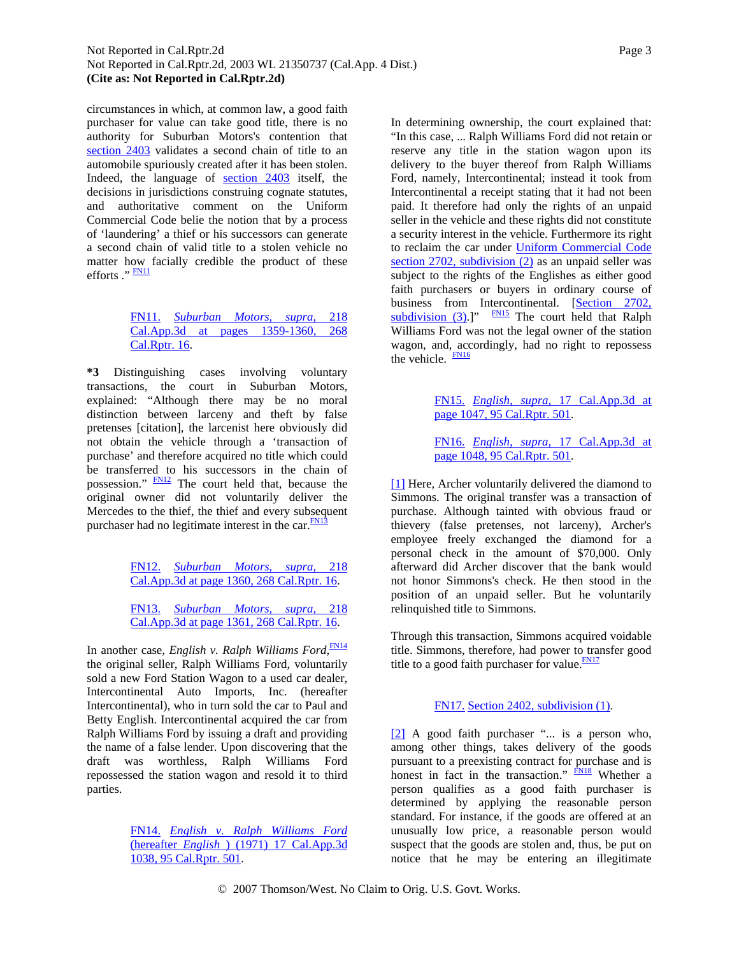<span id="page-2-0"></span>circumstances in which, at common law, a good faith purchaser for value can take good title, there is no authority for Suburban Motors's contention that [section 2403](http://www.westlaw.com/Find/Default.wl?rs=dfa1.0&vr=2.0&DB=1000202&DocName=CACLS2403&FindType=L) validates a second chain of title to an automobile spuriously created after it has been stolen. Indeed, the language of [section 2403](http://www.westlaw.com/Find/Default.wl?rs=dfa1.0&vr=2.0&DB=1000202&DocName=CACLS2403&FindType=L) itself, the decisions in jurisdictions construing cognate statutes, and authoritative comment on the Uniform Commercial Code belie the notion that by a process of 'laundering' a thief or his successors can generate a second chain of valid title to a stolen vehicle no matter how facially credible the product of these efforts ." **FN11** 

# [FN11.](#page-2-0) *[Suburban Motors, supra,](http://www.westlaw.com/Find/Default.wl?rs=dfa1.0&vr=2.0&DB=227&FindType=Y&SerialNum=1990054633)* [218](http://www.westlaw.com/Find/Default.wl?rs=dfa1.0&vr=2.0&DB=227&FindType=Y&SerialNum=1990054633)  [Cal.App.3d at pages 1359-1360, 268](http://www.westlaw.com/Find/Default.wl?rs=dfa1.0&vr=2.0&DB=227&FindType=Y&SerialNum=1990054633)  [Cal.Rptr. 16](http://www.westlaw.com/Find/Default.wl?rs=dfa1.0&vr=2.0&DB=227&FindType=Y&SerialNum=1990054633).

**\*3** Distinguishing cases involving voluntary transactions, the court in Suburban Motors, explained: "Although there may be no moral distinction between larceny and theft by false pretenses [citation], the larcenist here obviously did not obtain the vehicle through a 'transaction of purchase' and therefore acquired no title which could be transferred to his successors in the chain of possession." [FN12](#page-2-0) The court held that, because the original owner did not voluntarily deliver the Mercedes to the thief, the thief and every subsequent purchaser had no legitimate interest in the car.<sup>FN13</sup>

> [FN12.](#page-2-0) *[Suburban Motors, supra,](http://www.westlaw.com/Find/Default.wl?rs=dfa1.0&vr=2.0&DB=227&FindType=Y&SerialNum=1990054633)* [218](http://www.westlaw.com/Find/Default.wl?rs=dfa1.0&vr=2.0&DB=227&FindType=Y&SerialNum=1990054633)  [Cal.App.3d at page 1360, 268 Cal.Rptr. 16](http://www.westlaw.com/Find/Default.wl?rs=dfa1.0&vr=2.0&DB=227&FindType=Y&SerialNum=1990054633).

> [FN13.](#page-2-0) *[Suburban Motors, supra,](http://www.westlaw.com/Find/Default.wl?rs=dfa1.0&vr=2.0&DB=227&FindType=Y&SerialNum=1990054633)* [218](http://www.westlaw.com/Find/Default.wl?rs=dfa1.0&vr=2.0&DB=227&FindType=Y&SerialNum=1990054633)  [Cal.App.3d at page 1361, 268 Cal.Rptr. 16](http://www.westlaw.com/Find/Default.wl?rs=dfa1.0&vr=2.0&DB=227&FindType=Y&SerialNum=1990054633).

In another case, *English v. Ralph Williams Ford*, [FN14](#page-2-0) the original seller, Ralph Williams Ford, voluntarily sold a new Ford Station Wagon to a used car dealer, Intercontinental Auto Imports, Inc. (hereafter Intercontinental), who in turn sold the car to Paul and Betty English. Intercontinental acquired the car from Ralph Williams Ford by issuing a draft and providing the name of a false lender. Upon discovering that the draft was worthless, Ralph Williams Ford repossessed the station wagon and resold it to third parties.

> [FN14.](#page-2-0) *[English v. Ralph Williams Ford](http://www.westlaw.com/Find/Default.wl?rs=dfa1.0&vr=2.0&DB=227&FindType=Y&SerialNum=1971103368)* [\(hereafter](http://www.westlaw.com/Find/Default.wl?rs=dfa1.0&vr=2.0&DB=227&FindType=Y&SerialNum=1971103368) *[English](http://www.westlaw.com/Find/Default.wl?rs=dfa1.0&vr=2.0&DB=227&FindType=Y&SerialNum=1971103368)* [\) \(1971\) 17 Cal.App.3d](http://www.westlaw.com/Find/Default.wl?rs=dfa1.0&vr=2.0&DB=227&FindType=Y&SerialNum=1971103368)  [1038, 95 Cal.Rptr. 501.](http://www.westlaw.com/Find/Default.wl?rs=dfa1.0&vr=2.0&DB=227&FindType=Y&SerialNum=1971103368)

In determining ownership, the court explained that: "In this case, ... Ralph Williams Ford did not retain or reserve any title in the station wagon upon its delivery to the buyer thereof from Ralph Williams Ford, namely, Intercontinental; instead it took from Intercontinental a receipt stating that it had not been paid. It therefore had only the rights of an unpaid seller in the vehicle and these rights did not constitute a security interest in the vehicle. Furthermore its right to reclaim the car under [Uniform Commercial Code](http://www.westlaw.com/Find/Default.wl?rs=dfa1.0&vr=2.0&DB=1000202&DocName=CACLS2702&FindType=L)  [section 2702, subdivision \(2\)](http://www.westlaw.com/Find/Default.wl?rs=dfa1.0&vr=2.0&DB=1000202&DocName=CACLS2702&FindType=L) as an unpaid seller was subject to the rights of the Englishes as either good faith purchasers or buyers in ordinary course of business from Intercontinental. [Section 2702, [subdivision \(3\).](http://www.westlaw.com/Find/Default.wl?rs=dfa1.0&vr=2.0&DB=1000202&DocName=CACLS2702&FindType=L)]"  $\frac{FN15}{FN15}$  The court held that Ralph Williams Ford was not the legal owner of the station wagon, and, accordingly, had no right to repossess the vehicle. **FN16** 

> [FN15.](#page-2-0) *[English, supra,](http://www.westlaw.com/Find/Default.wl?rs=dfa1.0&vr=2.0&DB=227&FindType=Y&SerialNum=1971103368)* [17 Cal.App.3d at](http://www.westlaw.com/Find/Default.wl?rs=dfa1.0&vr=2.0&DB=227&FindType=Y&SerialNum=1971103368)  [page 1047, 95 Cal.Rptr. 501](http://www.westlaw.com/Find/Default.wl?rs=dfa1.0&vr=2.0&DB=227&FindType=Y&SerialNum=1971103368).

> [FN16.](#page-2-0) *[English, supra,](http://www.westlaw.com/Find/Default.wl?rs=dfa1.0&vr=2.0&DB=227&FindType=Y&SerialNum=1971103368)* [17 Cal.App.3d at](http://www.westlaw.com/Find/Default.wl?rs=dfa1.0&vr=2.0&DB=227&FindType=Y&SerialNum=1971103368)  [page 1048, 95 Cal.Rptr. 501](http://www.westlaw.com/Find/Default.wl?rs=dfa1.0&vr=2.0&DB=227&FindType=Y&SerialNum=1971103368).

[\[1\]](#page-0-0) Here, Archer voluntarily delivered the diamond to Simmons. The original transfer was a transaction of purchase. Although tainted with obvious fraud or thievery (false pretenses, not larceny), Archer's employee freely exchanged the diamond for a personal check in the amount of \$70,000. Only afterward did Archer discover that the bank would not honor Simmons's check. He then stood in the position of an unpaid seller. But he voluntarily relinquished title to Simmons.

Through this transaction, Simmons acquired voidable title. Simmons, therefore, had power to transfer good title to a good faith purchaser for value. $\frac{FN17}{FN17}$ 

## [FN17.](#page-2-0) [Section 2402, subdivision \(1\).](http://www.westlaw.com/Find/Default.wl?rs=dfa1.0&vr=2.0&DB=1000202&DocName=CACLS2402&FindType=L)

[\[2\]](#page-0-0) A good faith purchaser "... is a person who, among other things, takes delivery of the goods pursuant to a preexisting contract for purchase and is honest in fact in the transaction." [FN18](#page-3-0) Whether a person qualifies as a good faith purchaser is determined by applying the reasonable person standard. For instance, if the goods are offered at an unusually low price, a reasonable person would suspect that the goods are stolen and, thus, be put on notice that he may be entering an illegitimate

© 2007 Thomson/West. No Claim to Orig. U.S. Govt. Works.